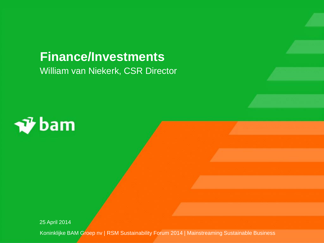# William van Niekerk, CSR Director **Finance/Investments**



25 April 2014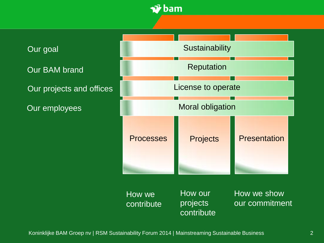

Our goal

Our BAM brand

Our projects and offices

Our employees



How we contribute How our projects contribute How we show our commitment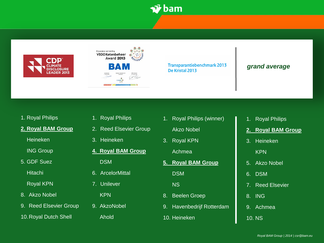





**Transparantiebenchmark 2013** De Kristal 2013

#### *grand average*

- 1. Royal Philips
- **2. Royal BAM Group** 
	- Heineken
	- ING Group
- 5. GDF Suez

Hitachi

Royal KPN

- 8. Akzo Nobel
- 9. Reed Elsevier Group

10.Royal Dutch Shell

- 1. Royal Philips
- 2. Reed Elsevier Group
- 3. Heineken
- **4. Royal BAM Group**

DSM

- 6. ArcelorMittal
- 7. Unilever

KPN

9. AkzoNobel

Ahold

- 1. Royal Philips (winner)
	- Akzo Nobel
- 3. Royal KPN

Achmea

**5. Royal BAM Group DSM** 

NS

- 8. Beelen Groep
- 9. Havenbedrijf Rotterdam
- 10. Heineken
- 1. Royal Philips
- **2. Royal BAM Group**
- 3. Heineken

KPN

- 5. Akzo Nobel
- 6. DSM
- 7. Reed Elsevier
- 8. ING
- 9. Achmea
- 10. NS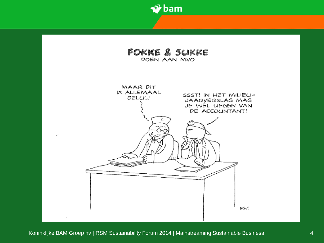

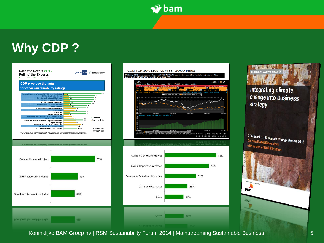

# **Why CDP ?**







**Integrating climate** change into business strategy

CDP Benelux 150 Climate Change Report 2012 On behalf of 655 investors with assets of US\$ 78 trillion

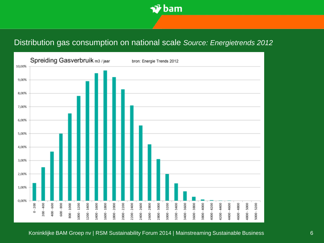

# Distribution gas consumption on national scale *Source: Energietrends 2012*

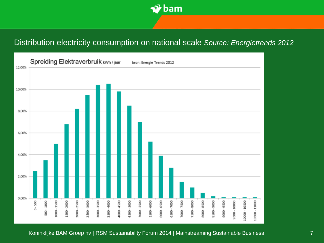

# Distribution electricity consumption on national scale *Source: Energietrends 2012*

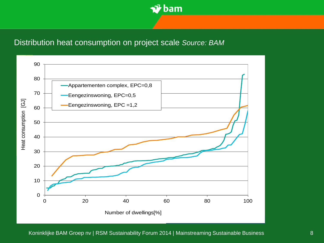

### Distribution heat consumption on project scale *Source: BAM*

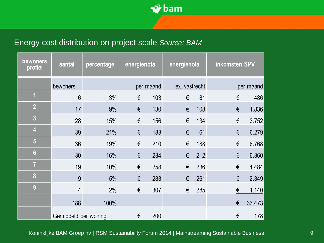

# Energy cost distribution on project scale *Source: BAM*

| <b>bewoners</b><br>profiel | aantal               | percentage | energienota |     | energienota   |     | inkomsten SPV |        |
|----------------------------|----------------------|------------|-------------|-----|---------------|-----|---------------|--------|
|                            | bewoners             |            | per maand   |     | ex. vastrecht |     | per maand     |        |
| $\overline{1}$             | 6                    | 3%         | €           | 103 | €             | 81  | €             | 486    |
| $\overline{2}$             | 17                   | 9%         | €           | 130 | €             | 108 | €             | 1.836  |
| $\overline{\mathbf{3}}$    | 28                   | 15%        | €           | 156 | €             | 134 | €             | 3.752  |
| $\overline{4}$             | 39                   | 21%        | €           | 183 | €             | 161 | €             | 6.279  |
| $5\phantom{.}$             | 36                   | 19%        | €           | 210 | €             | 188 | €             | 6.768  |
| $6\phantom{.}6$            | 30                   | 16%        | €           | 234 | €             | 212 | €             | 6.360  |
| $\overline{7}$             | 19                   | 10%        | €           | 258 | €             | 236 | €             | 4.484  |
| 8                          | 9                    | 5%         | €           | 283 | €             | 261 | €             | 2.349  |
| 9                          | $\overline{4}$       | 2%         | €           | 307 | €             | 285 | €             | 1.140  |
|                            | 188                  | 100%       |             |     |               |     | €             | 33.473 |
|                            | Gemiddeld per woning |            | €           | 200 |               |     | €             | 178    |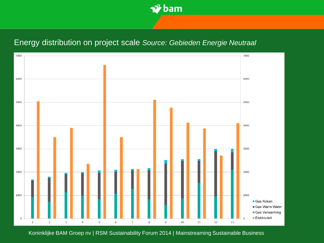

### Energy distribution on project scale *Source: Gebieden Energie Neutraal*

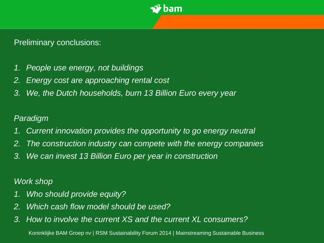

# Preliminary conclusions:

- *1. People use energy, not buildings*
- *2. Energy cost are approaching rental cost*
- *3. We, the Dutch households, burn 13 Billion Euro every year*

# *Paradigm*

- *1. Current innovation provides the opportunity to go energy neutral*
- *2. The construction industry can compete with the energy companies*
- *3. We can invest 13 Billion Euro per year in construction*

# *Work shop*

- *1. Who should provide equity?*
- *2. Which cash flow model should be used?*
- *3. How to involve the current XS and the current XL consumers?*